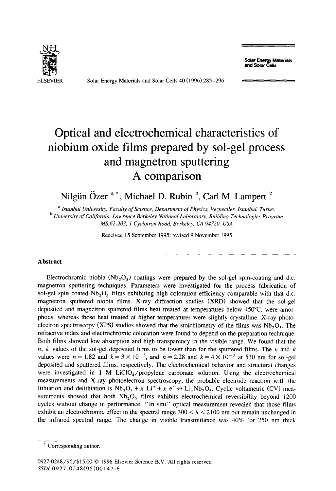**Solar Energy Materials and Solar Cells** 



Solar Energy Materials and Solar Cells 40 (1996) 285-296

# **Optical and electrochemical characteristics of niobium oxide films prepared by sol-gel process and magnetron sputtering A comparison**

Nilgün Özer<sup>a,\*</sup>, Michael D. Rubin <sup>b</sup>, Carl M. Lampert <sup>b</sup>

<sup>a</sup> Istanbul University, Faculty of Science, Department of Physics, Vezneciler, Istanbul, Turkey <sup>b</sup> University of California, Lawrence Berkeley National Laboratory, Building Technologies Program *MS.62-203, 1 Cyclotron Road, Berkeley, CA 94720, USA* 

Received 15 September 1995; revised 9 November 1995

## **Abstract**

Electrochromic niobia (Nb<sub>2</sub>O<sub>5</sub>) coatings were prepared by the sol-gel spin-coating and d.c. magnetron sputtering techniques. Parameters were investigated for the process fabrication of sol-gel spin coated  $Nb<sub>2</sub>O<sub>5</sub>$  films exhibiting high coloration efficiency comparable with that d.c. magnetron sputtered niobia films. X-ray diffraction studies (XRD) showed that the sol-gel deposited and magnetron sputtered films heat treated at temperatures below 450°C, were amorphous, whereas those heat treated at higher temperatures were slightly crystalline. X-ray photoelectron spectroscopy (XPS) studies showed that the stoichiometry of the films was  $Nb<sub>2</sub>O<sub>5</sub>$ . The refractive index and electrochromic coloration were found to depend on the preparation technique. Both films showed low absorption and high transparency in the visible range. We found that the n, k values of the sol-gel deposited films to be lower than for the sputtered films. The n and  $k$ values were  $n = 1.82$  and  $k = 3 \times 10^{-3}$ , and  $n = 2.28$  and  $k = 4 \times 10^{-3}$  at 530 nm for sol-gel deposited and sputtered films, respectively. The electrochemical behavior and structural changes were investigated in 1 M LiClO<sub>a</sub>/propylene carbonate solution. Using the electrochemical measurements and X-ray photoelectron spectroscopy, the probable electrode reaction with the lithiation and delithiation is  $Nb_2O_5 + x$  Li<sup>+</sup>+x e<sup>-</sup> $\leftrightarrow$  Li<sub>x</sub>Nb<sub>2</sub>O<sub>5</sub>. Cyclic voltametric (CV) measurements showed that both  $Nb_2O_5$  films exhibits electrochemical reversibility beyond 1200 cycles without change in performance. "In situ" optical measurement revealed that those films exhibit an electrochromic effect in the spectral range  $300 < \lambda < 2100$  nm but remain unchanged in the infrared spectral range. The change in visible transmittance was 40% for 250 nm thick

Corresponding author.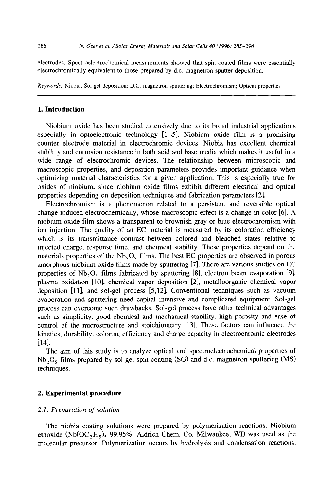electrodes. Spectroelectrochemical measurements showed that spin coated films were essentially electrochromically equivalent to those prepared by d.c. magnetron sputter deposition.

*Keywords:* Niobia; Sol-gel deposition; D.C. magnetron sputtering; Electrochromisrn; Optical properties

## **1. Introduction**

Niobium oxide has been studied extensively due to its broad industrial applications especially in optoelectronic technology  $[1-5]$ . Niobium oxide film is a promising counter electrode material in electrochromic devices. Niobia has excellent chemical stability and corrosion resistance in both acid and base media which makes it useful in a wide range of electrochromic devices. The relationship between microscopic and macroscopic properties, and deposition parameters provides important guidance when optimizing material characteristics for a given application. This is especially true for oxides of niobium, since niobium oxide films exhibit different electrical and optical properties depending on deposition techniques and fabrication parameters [2].

Electrochromism is a phenomenon related to a persistent and reversible optical change induced electrochemically, whose macroscopic effect is a change in color [6]. A niobium oxide film shows a transparent to brownish gray or blue electrochromism with ion injection. The quality of an EC material is measured by its coloration efficiency which is its transmittance contrast between colored and bleached states relative to injected charge, response time, and chemical stability. These properties depend on the materials properties of the  $Nb<sub>2</sub>O<sub>5</sub>$  films. The best EC properties are observed in porous amorphous niobium oxide films made by sputtering [7]. There are various studies on EC properties of  $Nb_2O_5$  films fabricated by sputtering [8], electron beam evaporation [9], plasma oxidation [10], chemical vapor deposition [2], metalloorganic chemical vapor deposition [11], and sol-gel process [5,12]. Conventional techniques such as vacuum evaporation and sputtering need capital intensive and complicated equipment. Sol-gel process can overcome such drawbacks. Sol-gel process have other technical advantages such as simplicity, good chemical and mechanical stability, high porosity and ease of control of the microstructure and stoichiometry [13]. These factors can influence the kinetics, durability, coloring efficiency and charge capacity in electrochromic electrodes [14].

The aim of this study is to analyze optical and spectroelectrochemical properties of  $Nb<sub>2</sub>O<sub>5</sub>$  films prepared by sol-gel spin coating (SG) and d.c. magnetron sputtering (MS) techniques.

## **2. Experimental procedure**

## *2.1. Preparation of solution*

The niobia coating solutions were prepared by polymerization reactions. Niobium ethoxide (Nb(OC<sub>2</sub>H<sub>5</sub>)<sub>5</sub> 99.95%, Aldrich Chem. Co. Milwaukee, WI) was used as the molecular precursor. Polymerization occurs by hydrolysis and condensation reactions.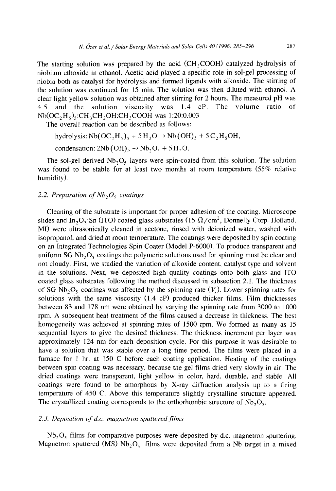The starting solution was prepared by the acid  $(CH_3COOH)$  catalyzed hydrolysis of niobium ethoxide in ethanol. Acetic acid played a specific role in sol-gel processing of niobia both as catalyst for hydrolysis and formed ligands with alkoxide. The stirring of the solution was continued for 15 min. The solution was then diluted with ethanol. A clear light yellow solution was obtained after stirring for 2 hours. The measured pH was 4.5 and the solution viscosity was 1.4 cP. The volume ratio of  $Nb(OC<sub>2</sub>H<sub>5</sub>)<sub>5</sub>:CH<sub>3</sub>CH<sub>2</sub>OH:CH<sub>3</sub>COOH was 1:20:0.003$ 

The overall reaction can be described as follows:

hydrolysis:  $Nb(OC, H_5)$ <sub>5</sub> + 5 H<sub>2</sub>O  $\rightarrow$  Nb (OH)<sub>5</sub> + 5 C<sub>2</sub>H<sub>5</sub>OH,

condensation:  $2Nb(OH)_{5} \rightarrow Nb_{2}O_{5} + 5H_{2}O$ .

The sol-gel derived  $Nb_2O_5$  layers were spin-coated from this solution. The solution was found to be stable for at least two months at room temperature (55% relative humidity).

# 2.2. Preparation of Nb<sub>2</sub>O<sub>5</sub> coatings

Cleaning of the substrate is important for proper adhesion of the coating. Microscope slides and In<sub>2</sub>O<sub>3</sub>:Sn (ITO) coated glass substrates (15  $\Omega$ /cm<sup>2</sup>, Donnelly Corp. Holland, MI) were ultrasonically cleaned in acetone, rinsed with deionized water, washed with isopropanol, and dried at room temperature. The coatings were deposited by spin coating on an Integrated Technologies Spin Coater (Model P-6000). To produce transparent and uniform  $SGNb<sub>2</sub>O<sub>5</sub>$  coatings the polymeric solutions used for spinning must be clear and not cloudy. First, we studied the variation of alkoxide content, catalyst type and solvent in the solutions. Next, we deposited high quality coatings onto both glass and ITO coated glass substrates following the method discussed in subsection 2.1. The thickness of SG Nb<sub>2</sub>O<sub>5</sub> coatings was affected by the spinning rate  $(V<sub>s</sub>)$ . Lower spinning rates for solutions with the same viscosity (1.4 cP) produced thicker films. Film thicknesses between 83 and 178 nm were obtained by varying the spinning rate from 3000 to 1000 rpm. A subsequent heat treatment of the films caused a decrease in thickness. The best homogeneity was achieved at spinning rates of 1500 rpm. We formed as many as 15 sequential layers to give the desired thickness. The thickness increment per layer was approximately 124 nm for each deposition cycle. For this purpose it was desirable to have a solution that was stable over a long time period. The films were placed in a furnace for I hr. at 150 C before each coating application. Heating of the coatings between spin coating was necessary, because the gel films dried very slowly in air. The dried coatings were transparent, light yellow in color, hard, durable, and stable. All coatings were found to be amorphous by X-ray diffraction analysis up to a firing temperature of 450 C. Above this temperature slightly crystalline structure appeared. The crystallized coating corresponds to the orthorhombic structure of  $Nb_2O_5$ .

#### *2.3. Deposition of d.c. magnetron sputtered films*

 $Nb<sub>2</sub>O<sub>5</sub>$  films for comparative purposes were deposited by d.c. magnetron sputtering. Magnetron sputtered (MS) Nb<sub>2</sub>O<sub>5</sub>. films were deposited from a Nb target in a mixed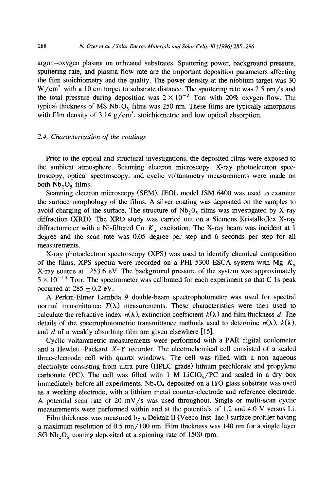argon-oxygen plasma on unheated substrates. Sputtering power, background pressure, sputtering rate, and plasma flow rate are the important deposition parameters affecting the film stoichiometry and the quality. The power density at the niobium target was 30  $W/cm<sup>2</sup>$  with a 10 cm target to substrate distance. The sputtering rate was 2.5 nm/s and the total pressure during deposition was  $2 \times 10^{-2}$  Torr with 20% oxygen flow. The typical thickness of MS  $Nb_2O_5$  films was 250 nm. These films are typically amorphous with film density of 3.14  $\frac{g}{cm^3}$ , stoichiometric and low optical absorption.

# *2.4. Characterization of the coatings*

Prior to the optical and structural investigations, the deposited films were exposed to the ambient atmosphere. Scanning electron microscopy, X-ray photoelectron spectroscopy, optical spectroscopy, and cyclic voltammetry measurements were made on both  $Nb<sub>2</sub>O<sub>5</sub>$  films.

Scanning electron microscopy (SEM), JEOL model JSM 6400 was used to examine the surface morphology of the films. A silver coating was deposited on the samples to avoid charging of the surface. The structure of  $Nb<sub>2</sub>O<sub>5</sub>$  films was investigated by X-ray diffraction (XRD). The XRD study was carried out on a Siemens Kristalloflex X-ray diffractometer with a Ni-filtered Cu  $K_{\alpha}$  excitation. The X-ray beam was incident at 1 degree and the scan rate was 0.05 degree per step and 6 seconds per step for all measurements.

X-ray photoelectron spectroscopy (XPS) was used to identify chemical composition of the films. XPS spectra were recorded on a PHI 5300 ESCA system with Mg  $K_{\alpha}$ X-ray source at 1253.6 eV. The background pressure of the system was approximately  $5 \times 10^{-10}$  Torr. The spectrometer was calibrated for each experiment so that C 1s peak occurred at  $285 \pm 0.2$  eV.

A Perkin-Elmer Lambda 9 double-beam spectrophotometer was used for spectral normal transmittance  $T(\lambda)$  measurements. These characteristics were then used to calculate the refractive index  $n(\lambda)$ , extinction coefficient  $k(\lambda)$  and film thickness d. The details of the spectrophotometric transmittance methods used to determine  $n(\lambda)$ ,  $k(\lambda)$ , and d of a weakly absorbing film are given elsewhere [15].

Cyclic voltammetric measurements were performed with a PAR digital coulometer and a Hewlett-Packard *X-Y* recorder. The electrochemical cell consisted of a sealed three-electrode cell with quartz windows. The cell was filled with a non aqueous electrolyte consisting from ultra pure (HPLC grade) lithium perchlorate and propylene carbonate (PC). The cell was filled with 1 M  $LiClO<sub>4</sub>/PC$  and sealed in a dry box immediately before all experiments.  $Nb<sub>2</sub>O<sub>5</sub>$  deposited on a ITO glass substrate was used as a working electrode, with a lithium metal counter-electrode and reference electrode. A potential scan rate of 20 mV/s was used throughout. Single or multi-scan cyclic measurements were performed within and at the potentials of 1.2 and 4.0 V versus Li.

Film thickness was measured by a Dektak II (Veeco Inst. Inc.) surface profiler having a maximum resolution of 0.5 nm/100 nm. Film thickness was 140 nm for a single layer SG  $Nb<sub>2</sub>O<sub>5</sub>$  coating deposited at a spinning rate of 1500 rpm.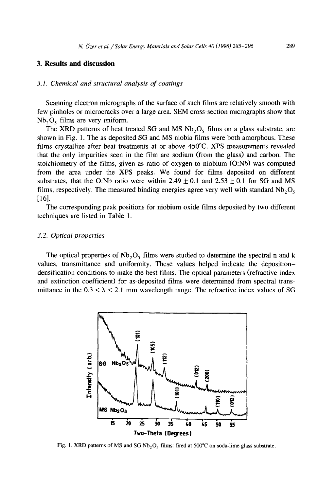# **3. Results and discussion**

## *3.1. Chemical and structural analysis of coatings*

Scanning electron micrographs of the surface of such films are relatively smooth with few pinholes or microcracks over a large area. SEM cross-section micrographs show that  $Nb<sub>2</sub>O<sub>5</sub>$  films are very uniform.

The XRD patterns of heat treated SG and MS  $Nb<sub>2</sub>O<sub>5</sub>$  films on a glass substrate, are shown in Fig. 1. The as deposited SG and MS niobia films were both amorphous. These films crystallize after heat treatments at or above 450°C. XPS measurements revealed that the only impurities seen in the film are sodium (from the glass) and carbon. The stoichiometry of the films, given as ratio of oxygen to niobium (O:Nb) was computed from the area under the XPS peaks. We found for films deposited on different substrates, that the O:Nb ratio were within  $2.49 \pm 0.1$  and  $2.53 \pm 0.1$  for SG and MS films, respectively. The measured binding energies agree very well with standard  $Nb_2O_5$ [16].

The corresponding peak positions for niobium oxide films deposited by two different techniques are listed in Table 1.

## *3.2. Optical properties*

The optical properties of  $Nb<sub>2</sub>O<sub>5</sub>$  films were studied to determine the spectral n and k values, transmittance and uniformity. These values helped indicate the depositiondensification conditions to make the best films. The optical parameters (refractive index and extinction coefficient) for as-deposited films were determined from spectral transmittance in the  $0.3 < \lambda < 2.1$  mm wavelength range. The refractive index values of SG



Fig. 1. XRD patterns of MS and SG Nb<sub>2</sub>O<sub>5</sub> films: fired at 500 $^{\circ}$ C on soda-lime glass substrate.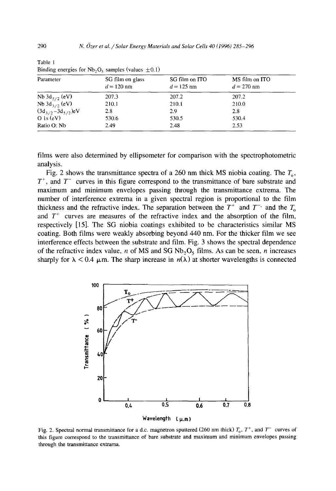| Parameter<br>Nb $3d_{5/2}$ (eV)<br>Nb $3d_{3/2}$ (eV) | SG film on glass<br>$d = 120$ nm | SG film on ITO<br>$d = 125$ nm | MS film on ITO<br>$d = 270$ nm |
|-------------------------------------------------------|----------------------------------|--------------------------------|--------------------------------|
|                                                       | 207.3                            | 207.2                          | 207.2                          |
|                                                       | 210.1                            | 210.1                          | 210.0                          |
| $(3d_{3/2}-3d_{5/2})eV$                               | 2.8                              | 2.9                            | 2.8                            |
| $O$ 1s (eV)                                           | 530.6                            | 530.5                          | 530.4                          |
| Ratio O: Nb                                           | 2.49                             | 2.48                           | 2.53                           |

Table 1 Binding energies for  $Nb_2O_5$  samples (values  $\pm 0.1$ )

films were also determined by ellipsometer for comparison with the spectrophotometric analysis.

Fig. 2 shows the transmittance spectra of a 260 nm thick MS niobia coating. The  $T_0$ ,  $T^+$ , and  $T^-$  curves in this figure correspond to the transmittance of bare substrate and maximum and minimum envelopes passing through the transmittance extrema. The number of interference extrema in a given spectral region is proportional to the film thickness and the refractive index. The separation between the  $T^+$  and  $T^-$  and the  $T_0$ and  $T^+$  curves are measures of the refractive index and the absorption of the film, respectively [15]. The SG niobia coatings exhibited to be characteristics similar MS coating. Both films were weakly absorbing beyond 440 nm. For the thicker film we see interference effects between the substrate and film. Fig. 3 shows the spectral dependence of the refractive index value, n of MS and SG Nb<sub>2</sub>O<sub>5</sub> films. As can be seen, n increases sharply for  $\lambda < 0.4$   $\mu$ m. The sharp increase in  $n(\lambda)$  at shorter wavelengths is connected



Fig. 2. Spectral normal transmittance for a d.c. magnetron sputtered (260 nm thick)  $T_0$ ,  $T^+$ , and  $T^-$  curves of this figure correspond to the transmittance of bare substrate and maximum and minimum envelopes passing through the transmittance extrama.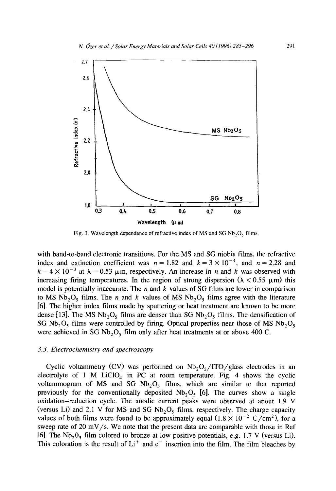

Fig. 3. Wavelength dependence of refractive index of MS and SG  $Nb<sub>2</sub>O<sub>5</sub>$  films.

with band-to-band electronic transitions. For the MS and SG niobia films, the refractive index and extinction coefficient was  $n = 1.82$  and  $k = 3 \times 10^{-4}$ , and  $n = 2.28$  and  $k = 4 \times 10^{-3}$  at  $\lambda = 0.53$  µm, respectively. An increase in *n* and *k* was observed with increasing firing temperatures. In the region of strong dispersion ( $\lambda < 0.55 \mu$ m) this model is potentially inaccurate. The  $n$  and  $k$  values of SG films are lower in comparison to MS Nb<sub>2</sub>O<sub>5</sub> films. The *n* and *k* values of MS Nb<sub>2</sub>O<sub>5</sub> films agree with the literature [6]. The higher index films made by sputtering or heat treatment are known to be more dense [13]. The MS Nb<sub>2</sub>O<sub>5</sub> films are denser than SG Nb<sub>2</sub>O<sub>5</sub> films. The densification of SG Nb<sub>2</sub>O<sub>5</sub> films were controlled by firing. Optical properties near those of MS Nb<sub>2</sub>O<sub>5</sub> were achieved in SG Nb<sub>2</sub>O<sub>5</sub> film only after heat treatments at or above 400 C.

## *3.3. Electrochemistry and spectroscopy*

Cyclic voltammetry (CV) was performed on  $Nb_2O_5/ITO/g$ lass electrodes in an electrolyte of 1 M LiClO<sub>4</sub> in PC at room temperature. Fig. 4 shows the cyclic voltammogram of MS and SG  $Nb<sub>2</sub>O<sub>5</sub>$  films, which are similar to that reported previously for the conventionally deposited  $Nb<sub>2</sub>O<sub>5</sub>$  [6]. The curves show a single oxidation-reduction cycle. The anodic current peaks were observed at about 1.9 V (versus Li) and 2.1 V for MS and SG  $Nb<sub>2</sub>O<sub>5</sub>$  films, respectively. The charge capacity values of both films were found to be approximately equal  $(1.8 \times 10^{-2} \text{ C/cm}^2)$ , for a sweep rate of 20 mV/s. We note that the present data are comparable with those in Ref [6]. The  $Nb<sub>2</sub>O<sub>5</sub>$  film colored to bronze at low positive potentials, e.g. 1.7 V (versus Li). This coloration is the result of  $Li<sup>+</sup>$  and  $e<sup>-</sup>$  insertion into the film. The film bleaches by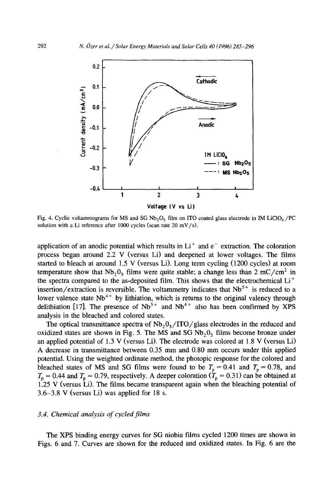

Fig. 4. Cyclic voltammograms for MS and SG  $Nb_2O_5$  film on ITO coated glass electrode in IM LiClO<sub>4</sub>/PC solution with a Li reference after 1000 cycles (scan rate 20 mV/s),

application of an anodic potential which results in  $Li<sup>+</sup>$  and  $e<sup>-</sup>$  extraction. The coloration process began around 2.2 V (versus Li) and deepened at lower voltages. The films started to bleach at around 1.5 V (versus Li). Long term cycling (1200 cycles) at room temperature show that  $Nb_2O_5$  films were quite stable; a change less than 2 mC/cm<sup>2</sup> in the spectra compared to the as-deposited film. This shows that the electrochemical Li<sup>+</sup> insertion/extraction is reversible. The voltammetry indicates that  $Nb<sup>5+</sup>$  is reduced to a lower valence state  $Nb^{++}$  by lithiation, which is returns to the original valency through delithiation [17]. The presence of  $Nb^{3+}$  and  $Nb^{4+}$  also has been confirmed by XPS analysis in the bleached and colored states.

The optical transmittance spectra of  $Nb<sub>2</sub>O<sub>5</sub>/ITO/glass electrodes$  in the reduced and oxidized states are shown in Fig. 5. The MS and SG  $Nb<sub>2</sub>O<sub>5</sub>$  films become bronze under an applied potential of 1.3 V (versus Li). The electrode was colored at 1.8 V (versus Li) A decrease in transmittance between 0.35 mm and 0.80 mm occurs under this applied potential. Using the weighted ordinate method, the photopic response for the colored and bleached states of MS and SG films were found to be  $T_p = 0.41$  and  $T_p = 0.78$ , and  $T_p = 0.44$  and  $T_p = 0.79$ , respectively. A deeper coloration ( $T_p = 0.31$ ) can be obtained at 1.25 V (versus Li). The films became transparent again when the bleaching potential of 3.6-3.8 V (versus Li) was applied for 18 s.

## *3.4. Chemical analysis of cycled films*

The XPS binding energy curves for SG niobia films cycled 1200 times are shown in Figs. 6 and 7. Curves are shown for the reduced and oxidized states. In Fig. 6 are the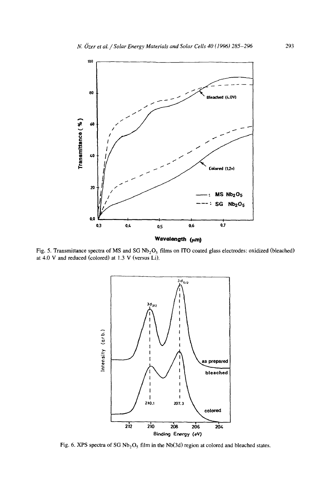

Fig. 5. Transmittance spectra of MS and SG  $Nb_2O_5$  films on ITO coated glass electrodes: oxidized (bleached) at 4.0 V and reduced (colored) at 1.3 V (versus Li).



Fig. 6. XPS spectra of SG  $Nb_2O_5$  film in the Nb(3d) region at colored and bleached states.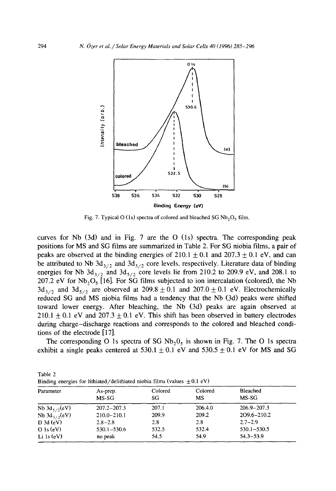

Fig. 7. Typical O (1s) spectra of colored and bleached SG  $Nb<sub>2</sub>O<sub>5</sub>$  film.

curves for Nb  $(3d)$  and in Fig. 7 are the O  $(1s)$  spectra. The corresponding peak positions for MS and SG films are summarized in Table 2. For SG niobia films, a pair of peaks are observed at the binding energies of  $210.1 \pm 0.1$  and  $207.3 \pm 0.1$  eV, and can be attributed to Nb  $3d_{3/2}$  and  $3d_{5/2}$  core levels, respectively. Literature data of binding energies for Nb  $3d_{3/2}$  and  $3d_{5/2}$  core levels lie from 210.2 to 209.9 eV, and 208.1 to 207.2 eV for  $Nb_2O_5$  [16]. For SG films subjected to ion intercalation (colored), the Nb  $3d_{3/2}$  and  $3d_{5/2}$  are observed at  $209.8 \pm 0.1$  and  $207.0 \pm 0.1$  eV. Electrochemically reduced SG and MS niobia films had a tendency that the Nb (3d) peaks were shifted toward lower energy. After bleaching, the Nb (3d) peaks are again observed at 210.1  $\pm$  0.1 eV and 207.3  $\pm$  0.1 eV. This shift has been observed in battery electrodes during charge-discharge reactions and corresponds to the colored and bleached conditions of the electrode [17].

The corresponding O 1s spectra of SG  $Nb<sub>2</sub>O<sub>5</sub>$  is shown in Fig. 7. The O 1s spectra exhibit a single peaks centered at  $530.1 \pm 0.1$  eV and  $530.5 \pm 0.1$  eV for MS and SG

| Binding energies for lithiated/delithiated niobia films (values $\pm 0.1$ eV) |                   |               |               |                   |  |  |  |
|-------------------------------------------------------------------------------|-------------------|---------------|---------------|-------------------|--|--|--|
| Parameter                                                                     | As-prep.<br>MS-SG | Colored<br>SG | Colored<br>MS | Bleached<br>MS-SG |  |  |  |
| Nb $3d_{5/2}(eV)$                                                             | $207.2 - 207.3$   | 207.1         | 206.4.0       | $206.9 - 207.3$   |  |  |  |
| Nb $3d_{3/2}$ (eV)                                                            | $210.0 - 210.1$   | 209.9         | 209.2         | 209.6-210.2       |  |  |  |
| D 3d (eV)                                                                     | $2.8 - 2.8$       | 2.8           | 2.8           | $2.7 - 2.9$       |  |  |  |
| $O$ 1s (eV)                                                                   | $530.1 - 530.6$   | 532.5         | 532.4         | $530.1 - 530.5$   |  |  |  |
| Li $1s(eV)$                                                                   | no peak           | 54.5          | 54.9          | $54.3 - 53.9$     |  |  |  |

Table 2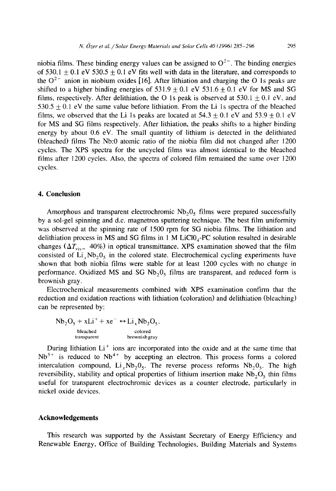niobia films. These binding energy values can be assigned to  $O^{2-}$ . The binding energies of 530.1  $\pm$  0.1 eV 530.5  $\pm$  0.1 eV fits well with data in the literature, and corresponds to the  $Q^{2-}$  anion in niobium oxides [16]. After lithiation and charging the O 1s peaks are shifted to a higher binding energies of  $531.9 \pm 0.1$  eV  $531.6 \pm 0.1$  eV for MS and SG films, respectively. After delithiation, the O 1s peak is observed at  $530.1 + 0.1$  eV, and  $530.5 + 0.1$  eV the same value before lithiation. From the Li 1s spectra of the bleached films, we observed that the Li 1s peaks are located at  $54.3 \pm 0.1$  eV and  $53.9 \pm 0.1$  eV for MS and SG films respectively. After lithiation, the peaks shifts to a higher binding energy by about 0.6 eV. The small quantity of lithium is detected in the delithiated (bleached) films The Nb:0 atomic ratio of the niobia film did not changed after 1200 cycles. The XPS spectra for the uncycled films was almost identical to the bleached films after 1200 cycles. Also, the spectra of colored film remained the same over 1200

#### **4. Conclusion**

cycles.

Amorphous and transparent electrochromic  $Nb<sub>2</sub>O<sub>5</sub>$  films were prepared successfully by a sol-gel spinning and d.c. magnetron sputtering technique. The best film uniformity was observed at the spinning rate of 1500 rpm for SG niobia films. The lithiation and delithiation process in MS and SG films in  $1 \text{ M }$  LiCl0<sub>4</sub>-PC solution resulted in desirable changes ( $\Delta T_{\text{vis}}$  40%) in optical transmittance. XPS examination showed that the film consisted of Li<sub>x</sub>Nb<sub>2</sub>0<sub>5</sub> in the colored state. Electrochemical cycling experiments have shown that both niobia films were stable for at least 1200 cycles with no change in performance. Oxidized MS and SG  $Nb_2O_5$  films are transparent, and reduced form is brownish gray.

Electrochemical measurements combined with XPS examination confirm that the reduction and oxidation reactions with lithiation (coloration) and delithiation (bleaching) can be represented by:

$$
Nb_2O_5 + xLi^+ + xe^- \leftrightarrow Li_xNb_2O_5.
$$
  
beached  
transport  
brownising ray

During lithiation  $Li<sup>+</sup>$  ions are incorporated into the oxide and at the same time that  $Nb<sup>5+</sup>$  is reduced to  $Nb<sup>4+</sup>$  by accepting an electron. This process forms a colored intercalation compound, Li<sub>x</sub>Nb<sub>2</sub>0<sub>5</sub>. The reverse process reforms  $Nb<sub>2</sub>0<sub>5</sub>$ . The high reversibility, stability and optical properties of lithium insertion make  $Nb<sub>2</sub>O<sub>5</sub>$  thin films useful for transparent electrochromic devices as a counter electrode, particularly in nickel oxide devices.

## **Acknowledgements**

This research was supported by the Assistant Secretary of Energy Efficiency and Renewable Energy, Office of Building Technologies, Building Materials and Systems